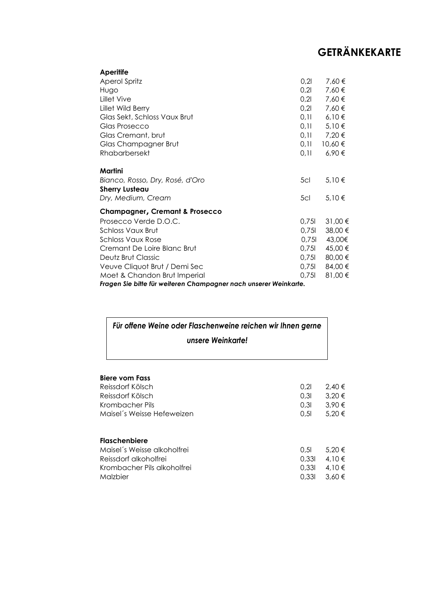| <b>Aperitife</b>                                                 |       |             |  |
|------------------------------------------------------------------|-------|-------------|--|
| <b>Aperol Spritz</b>                                             | 0,21  | 7,60€       |  |
| Hugo                                                             | 0,21  | 7,60€       |  |
| Lillet Vive                                                      | 0,21  | 7,60€       |  |
| Lillet Wild Berry                                                | 0,21  | 7,60€       |  |
| Glas Sekt, Schloss Vaux Brut                                     | 0,11  | 6,10€       |  |
| Glas Prosecco                                                    | 0,11  | 5,10€       |  |
| Glas Cremant, brut                                               | 0,11  | 7,20 €      |  |
| Glas Champagner Brut                                             | 0,11  | 10,60 €     |  |
| Rhabarbersekt                                                    | 0,11  | $6,90 \in$  |  |
|                                                                  |       |             |  |
| Martini                                                          |       |             |  |
| Bianco, Rosso, Dry, Rosé, d'Oro                                  | 5cl   | 5,10€       |  |
| <b>Sherry Lusteau</b>                                            |       |             |  |
| Dry, Medium, Cream                                               | 5cl   | 5,10€       |  |
| <b>Champagner, Cremant &amp; Prosecco</b>                        |       |             |  |
| Prosecco Verde D.O.C.                                            | 0,751 | $31,00 \in$ |  |
| Schloss Vaux Brut                                                | 0,751 | 38,00 €     |  |
| Schloss Vaux Rose                                                | 0.75  | 43,00€      |  |
| Cremant De Loire Blanc Brut                                      | 0,751 | 45,00 €     |  |
| Deutz Brut Classic                                               | 0,751 | 80,00 €     |  |
| Veuve Cliquot Brut / Demi Sec                                    | 0,751 | 84,00 €     |  |
| Moet & Chandon Brut Imperial                                     | 0,751 | 81,00€      |  |
| Fragen Sie bitte für weiteren Champagner nach unserer Weinkarte. |       |             |  |

#### *Für offene Weine oder Flaschenweine reichen wir Ihnen gerne unsere Weinkarte!*

| Biere vom Fass              |       |            |
|-----------------------------|-------|------------|
| Reissdorf Kölsch            | 0.21  | $2.40 \in$ |
| Reissdorf Kölsch            | 0.31  | 3,20€      |
| Krombacher Pils             | 0.31  | 3,90€      |
| Maisel's Weisse Hefeweizen  | 0.51  | 5,20€      |
| <b>Flaschenbiere</b>        |       |            |
| Maisel's Weisse alkoholfrei | 0.51  | 5.20 €     |
| Reissdorf alkoholfrei       | 0.331 | 4.10 €     |
| Krombacher Pils alkoholfrei | 0.331 | 4.10 €     |
| Malzbier                    | 0.331 | $3.60 \in$ |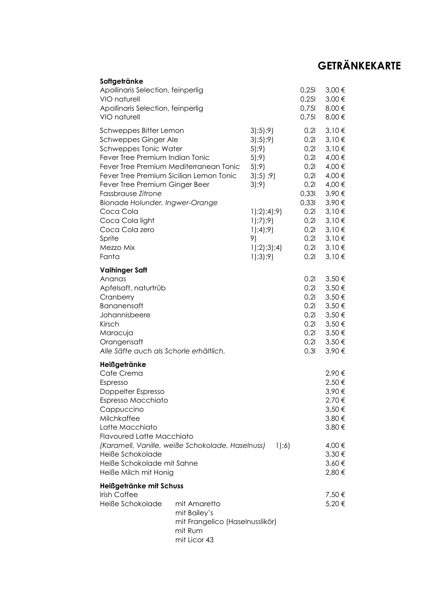| Softgetränke                                                                                                                                                                                                                                                                                                                                                                 |                                                                                            |                                                                                                                                 |                                                                                                                        |                                                                                                                                         |
|------------------------------------------------------------------------------------------------------------------------------------------------------------------------------------------------------------------------------------------------------------------------------------------------------------------------------------------------------------------------------|--------------------------------------------------------------------------------------------|---------------------------------------------------------------------------------------------------------------------------------|------------------------------------------------------------------------------------------------------------------------|-----------------------------------------------------------------------------------------------------------------------------------------|
| Apollinaris Selection, feinperlig<br>VIO naturell<br>Apollinaris Selection, feinperlig<br>VIO naturell                                                                                                                                                                                                                                                                       |                                                                                            |                                                                                                                                 | 0,251<br>0,251<br>0,75<br>0,75                                                                                         | 3,00 €<br>3,00 €<br>8,00 €<br>8,00 €                                                                                                    |
| Schweppes Bitter Lemon<br>Schweppes Ginger Ale<br>Schweppes Tonic Water<br>Fever Tree Premium Indian Tonic<br>Fever Tree Premium Mediterranean Tonic<br>Fever Tree Premium Sicilian Lemon Tonic<br>Fever Tree Premium Ginger Beer<br>Fassbrause Zitrone<br>Bionade Holunder, Ingwer-Orange<br>Coca Cola<br>Coca Cola light<br>Coca Cola zero<br>Sprite<br>Mezzo Mix<br>Fanta |                                                                                            | 3;5;9)<br>3;5;9)<br>5;9)<br>5;9)<br>5;9)<br>3;5;9)<br>3;9)<br>1;2;4;9)<br>1);7);9<br>1);4);9<br>9)<br>$1$ );2);3);4)<br>1);3);9 | 0,21<br>0,21<br>0,21<br>0,21<br>0,21<br>0,21<br>0,21<br>0,331<br>0,331<br>0,21<br>0,21<br>0,21<br>0,21<br>0,21<br>0,21 | 3,10€<br>3,10€<br>3,10€<br>4,00 €<br>4,00 €<br>4,00 €<br>4,00 €<br>3,90€<br>3,90€<br>3,10€<br>3,10€<br>3,10€<br>3,10€<br>3,10€<br>3,10€ |
| <b>Vaihinger Saft</b><br>Ananas<br>Apfelsaft, naturtrüb<br>Cranberry<br><b>Bananensaft</b><br>Johannisbeere<br>Kirsch<br>Maracuja<br>Orangensaft<br>Alle Säfte auch als Schorle erhältlich.                                                                                                                                                                                  |                                                                                            |                                                                                                                                 | 0,21<br>0,21<br>0,21<br>0,21<br>0,21<br>0,21<br>0,21<br>0,21<br>0,31                                                   | 3,50 €<br>3,50 €<br>3,50 €<br>3,50 €<br>3,50 €<br>3,50 €<br>3,50 €<br>3,50 €<br>3,90€                                                   |
| Heißgetränke<br>Cafe Crema<br>Espresso<br>Doppelter Espresso<br>Espresso Macchiato<br>Cappuccino<br>Milchkaffee<br>Latte Macchiato<br><b>Flavoured Latte Macchiato</b><br>Heiße Schokolade<br>Heiße Schokolade mit Sahne<br>Heiße Milch mit Honig                                                                                                                            | (Karamell, Vanille, weiße Schokolade, Haselnuss)                                           | 1);6)                                                                                                                           |                                                                                                                        | 2,90€<br>2,50 €<br>3,90€<br>2,70 €<br>3,50 €<br>3,80 €<br>3,80 €<br>4,00 €<br>$3,30 \in$<br>$3,60 \in$<br>2,80 €                        |
| Heißgetränke mit Schuss<br>Irish Coffee<br>Heiße Schokolade                                                                                                                                                                                                                                                                                                                  | mit Amaretto<br>mit Bailey's<br>mit Frangelico (Haselnusslikör)<br>mit Rum<br>mit Licor 43 |                                                                                                                                 |                                                                                                                        | 7,50€<br>5,20€                                                                                                                          |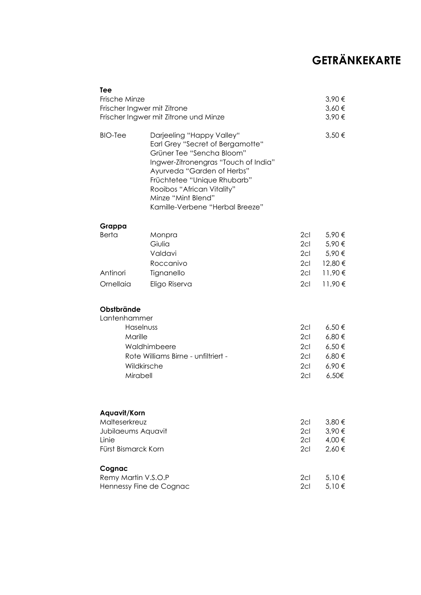| Tee   | Frische Minze<br>Frischer Ingwer mit Zitrone                                                  | Frischer Ingwer mit Zitrone und Minze                                                                                                                                                                                                                                                  |                                                                   | 3,90€<br>$3,60 \in$<br>3,90€                                                |
|-------|-----------------------------------------------------------------------------------------------|----------------------------------------------------------------------------------------------------------------------------------------------------------------------------------------------------------------------------------------------------------------------------------------|-------------------------------------------------------------------|-----------------------------------------------------------------------------|
|       | <b>BIO-Tee</b>                                                                                | Darjeeling "Happy Valley"<br>Earl Grey "Secret of Bergamotte"<br>Grüner Tee "Sencha Bloom"<br>Ingwer-Zitronengras "Touch of India"<br>Ayurveda "Garden of Herbs"<br>Früchtetee "Unique Rhubarb"<br>Rooibos "African Vitality"<br>Minze "Mint Blend"<br>Kamille-Verbene "Herbal Breeze" |                                                                   | 3,50 €                                                                      |
|       | Grappa                                                                                        |                                                                                                                                                                                                                                                                                        |                                                                   |                                                                             |
|       | <b>Berta</b><br>Antinori<br>Ornellaia                                                         | Monpra<br>Giulia<br>Valdavi<br>Roccanivo<br>Tignanello<br>Eligo Riserva                                                                                                                                                                                                                | 2cl<br>2 <sub>cl</sub><br>$2$ cl<br>2 <sub>cl</sub><br>2cl<br>2cl | 5,90€<br>5,90€<br>5,90€<br>12,80 €<br>11,90€<br>11,90€                      |
|       |                                                                                               |                                                                                                                                                                                                                                                                                        |                                                                   |                                                                             |
|       | Obstbrände<br>Lantenhammer<br>Haselnuss<br>Marille<br>Waldhimbeere<br>Wildkirsche<br>Mirabell | Rote Williams Birne - unfiltriert -                                                                                                                                                                                                                                                    | 2cl<br>2cl<br>2 <sub>cl</sub><br>2 <sub>cl</sub><br>2cl<br>2cl    | $6,50 \in$<br>$6,80 \in$<br>$6,50 \in$<br>$6,80 \in$<br>6,90€<br>$6,50 \in$ |
| Linie | Aquavit/Korn<br>Malteserkreuz<br>Jubilaeums Aquavit<br>Fürst Bismarck Korn                    |                                                                                                                                                                                                                                                                                        | 2cl<br>2cl<br>2cl<br>2cl                                          | 3,80 €<br>3,90€<br>4,00 €<br>2,60€                                          |
|       | Cognac<br>Remy Martin V.S.O.P<br>Hennessy Fine de Cognac                                      |                                                                                                                                                                                                                                                                                        | 2cl<br>2cl                                                        | 5,10€<br>5,10€                                                              |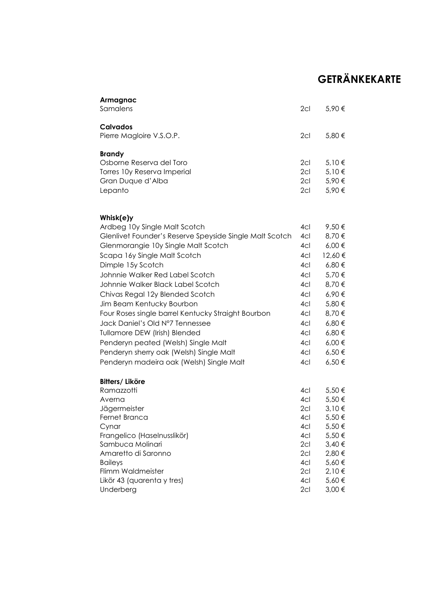| Armagnac<br>Samalens                                                                                                                                                                                                                                                                                                                                                                                                                                                                                                                                                                              | 2cl                                                                                                   | 5,90€                                                                                                                                                     |
|---------------------------------------------------------------------------------------------------------------------------------------------------------------------------------------------------------------------------------------------------------------------------------------------------------------------------------------------------------------------------------------------------------------------------------------------------------------------------------------------------------------------------------------------------------------------------------------------------|-------------------------------------------------------------------------------------------------------|-----------------------------------------------------------------------------------------------------------------------------------------------------------|
| <b>Calvados</b><br>Pierre Magloire V.S.O.P.                                                                                                                                                                                                                                                                                                                                                                                                                                                                                                                                                       | 2cl                                                                                                   | 5,80 €                                                                                                                                                    |
| <b>Brandy</b><br>Osborne Reserva del Toro<br>Torres 10y Reserva Imperial<br>Gran Duque d'Alba<br>Lepanto                                                                                                                                                                                                                                                                                                                                                                                                                                                                                          | 2cl<br>2 <sub>cl</sub><br>2c <sub>l</sub><br>2cl                                                      | 5,10€<br>5,10€<br>5,90€<br>5,90€                                                                                                                          |
| Whisk(e)y<br>Ardbeg 10y Single Malt Scotch<br>Glenlivet Founder's Reserve Speyside Single Malt Scotch<br>Glenmorangie 10y Single Malt Scotch<br>Scapa 16y Single Malt Scotch<br>Dimple 15y Scotch<br>Johnnie Walker Red Label Scotch<br>Johnnie Walker Black Label Scotch<br>Chivas Regal 12y Blended Scotch<br>Jim Beam Kentucky Bourbon<br>Four Roses single barrel Kentucky Straight Bourbon<br>Jack Daniel's Old N°7 Tennessee<br>Tullamore DEW (Irish) Blended<br>Penderyn peated (Welsh) Single Malt<br>Penderyn sherry oak (Welsh) Single Malt<br>Penderyn madeira oak (Welsh) Single Malt | 4cl<br>4cl<br>4cl<br>4cl<br>4cl<br>4cl<br>4cl<br>4cl<br>4cl<br>4cl<br>4cl<br>4cl<br>4cl<br>4cl<br>4cl | 9,50€<br>8,70€<br>$6,00 \in$<br>12,60€<br>6,80€<br>5,70 €<br>8,70€<br>6,90€<br>5,80€<br>8,70€<br>6,80€<br>$6,80 \in$<br>$6,00 \in$<br>6,50€<br>$6,50 \in$ |
| <b>Bitters/Liköre</b><br>Ramazzotti<br>Averna<br>Jägermeister<br>Fernet Branca<br>Cynar<br>Frangelico (Haselnusslikör)<br>Sambuca Molinari<br>Amaretto di Saronno<br><b>Baileys</b><br>Flimm Waldmeister<br>Likör 43 (quarenta y tres)<br>Underberg                                                                                                                                                                                                                                                                                                                                               | 4cl<br>4cl<br>2cl<br>4cl<br>4cl<br>4cl<br>2cl<br>2cl<br>4cl<br>2cl<br>4cl<br>2cl                      | 5,50€<br>5,50€<br>3,10€<br>5,50 €<br>5,50€<br>5,50€<br>3,40€<br>2,80 €<br>$5,60 \in$<br>2,10€<br>$5,60 \in$<br>3,00 €                                     |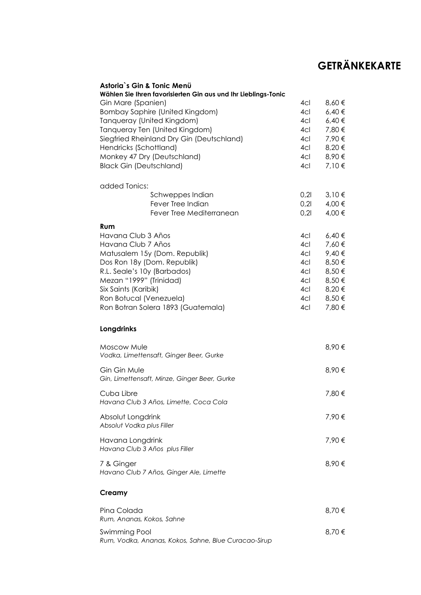| Astoria`s Gin & Tonic Menü<br>Wählen Sie Ihren favorisierten Gin aus und Ihr Lieblings-Tonic |      |            |
|----------------------------------------------------------------------------------------------|------|------------|
| Gin Mare (Spanien)                                                                           | 4cl  | 8,60€      |
| <b>Bombay Saphire (United Kingdom)</b>                                                       | 4cl  | $6,40 \in$ |
| Tanqueray (United Kingdom)                                                                   | 4cl  | $6,40 \in$ |
| Tanqueray Ten (United Kingdom)                                                               | 4cl  | 7,80 €     |
| Siegfried Rheinland Dry Gin (Deutschland)                                                    | 4cl  | 7,90€      |
| Hendricks (Schottland)                                                                       | 4cl  | 8,20€      |
| Monkey 47 Dry (Deutschland)                                                                  | 4cl  | 8,90€      |
| <b>Black Gin (Deutschland)</b>                                                               | 4cl  | 7,10€      |
| added Tonics:                                                                                |      |            |
| Schweppes Indian                                                                             | 0,21 | 3,10€      |
| Fever Tree Indian                                                                            | 0,21 | 4,00 €     |
| Fever Tree Mediterranean                                                                     | 0,21 | 4,00 €     |
| Rum                                                                                          |      |            |
| Havana Club 3 Años                                                                           | 4cl  | 6,40€      |
| Havana Club 7 Años                                                                           | 4cl  | 7,60€      |
| Matusalem 15y (Dom. Republik)                                                                | 4cl  | 9,40€      |
| Dos Ron 18y (Dom. Republik)                                                                  | 4cl  | 8,50€      |
| R.L. Seale's 10y (Barbados)                                                                  | 4cl  | 8,50€      |
| Mezan "1999" (Trinidad)                                                                      | 4cl  | 8,50€      |
| Six Saints (Karibik)                                                                         | 4cl  | 8,20€      |
| Ron Botucal (Venezuela)                                                                      | 4cl  | 8,50€      |
| Ron Botran Solera 1893 (Guatemala)                                                           | 4cl  | 7,80 €     |
| Longdrinks                                                                                   |      |            |
| Moscow Mule                                                                                  |      | 8,90€      |
| Vodka, Limettensaft, Ginger Beer, Gurke                                                      |      |            |
| Gin Gin Mule                                                                                 |      | 8,90€      |
| Gin, Limettensaft, Minze, Ginger Beer, Gurke                                                 |      |            |
|                                                                                              |      |            |
| Cuba Libre                                                                                   |      | 7,80 €     |
| Havana Club 3 Años, Limette, Coca Cola                                                       |      |            |
| Absolut Longdrink                                                                            |      | 7,90€      |
| Absolut Vodka plus Filler                                                                    |      |            |
| Havana Longdrink                                                                             |      | 7,90€      |
| Havana Club 3 Años plus Filler                                                               |      |            |
|                                                                                              |      | 8,90€      |
| 7 & Ginger<br>Havano Club 7 Años, Ginger Ale, Limette                                        |      |            |
| Creamy                                                                                       |      |            |
| Pina Colada                                                                                  |      | 8,70€      |
| Rum, Ananas, Kokos, Sahne                                                                    |      |            |
|                                                                                              |      |            |
| Swimming Pool<br>Rum, Vodka, Ananas, Kokos, Sahne, Blue Curacao-Sirup                        |      | 8,70€      |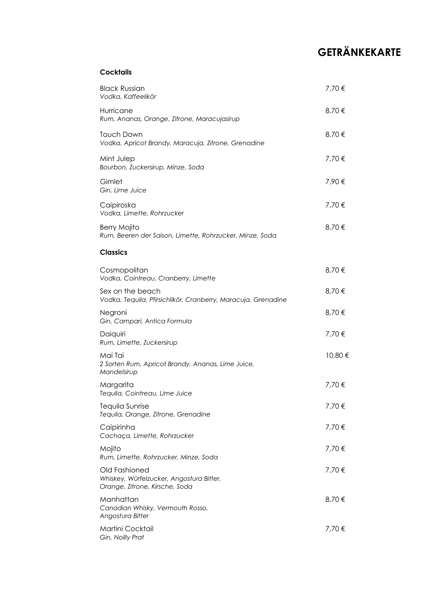#### **Cocktails**

| <b>Black Russian</b><br>Vodka, Kaffeelikör                                                  | 7,70 €  |
|---------------------------------------------------------------------------------------------|---------|
| Hurricane<br>Rum, Ananas, Orange, Zitrone, Maracujasirup                                    | 8,70€   |
| <b>Touch Down</b><br>Vodka, Apricot Brandy, Maracuja, Zitrone, Grenadine                    | 8,70€   |
| Mint Julep<br>Bourbon, Zuckersirup, Minze, Soda                                             | 7,70 €  |
| Gimlet<br>Gin, Lime Juice                                                                   | 7,90€   |
| Caipiroska<br>Vodka, Limette, Rohrzucker                                                    | 7,70 €  |
| Berry Mojito<br>Rum, Beeren der Saison, Limette, Rohrzucker, Minze, Soda                    | 8,70€   |
| <b>Classics</b>                                                                             |         |
| Cosmopolitan<br>Vodka, Cointreau, Cranberry, Limette                                        | 8,70€   |
| Sex on the beach<br>Vodka, Tequila, Pfirsichlikör, Cranberry, Maracuja, Grenadine           | 8,70€   |
| Negroni<br>Gin, Campari, Antica Formula                                                     | 8,70€   |
| Daiquiri<br>Rum, Limette, Zuckersirup                                                       | 7,70 €  |
| Mai Tai<br>2 Sorten Rum, Apricot Brandy, Ananas, Lime Juice,<br>Mandelsirup                 | 10,80 € |
| Margarita<br>Tequila, Cointreau, Lime Juice                                                 | 7,70 €  |
| Tequila Sunrise<br>Tequila, Orange, Zitrone, Grenadine                                      | 7,70 €  |
| Caipirinha<br>Cachaça, Limette, Rohrzucker                                                  | 7,70 €  |
| Mojito<br>Rum, Limette, Rohrzucker, Minze, Soda                                             | 7,70 €  |
| Old Fashioned<br>Whiskey, Würfelzucker, Angostura Bitter,<br>Orange, Zitrone, Kirsche, Soda | 7,70€   |
| Manhattan<br>Canadian Whisky, Vermouth Rosso,<br>Angostura Bitter                           | 8,70€   |
| Martini Cocktail<br>Gin, Noilly Prat                                                        | 7,70€   |